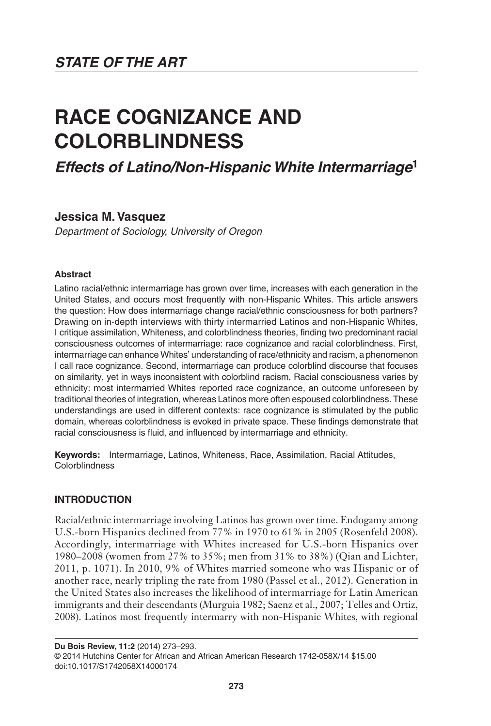# **RACE COGNIZANCE AND COLORBLINDNESS**

*Effects of Latino/Non-Hispanic White Intermarriage* **<sup>1</sup>**

# **Jessica M. Vasquez**

**Department of Sociology, University of Oregon** 

# **Abstract**

Latino racial/ethnic intermarriage has grown over time, increases with each generation in the United States, and occurs most frequently with non-Hispanic Whites. This article answers the question: How does intermarriage change racial/ethnic consciousness for both partners? Drawing on in-depth interviews with thirty intermarried Latinos and non-Hispanic Whites, I critique assimilation, Whiteness, and colorblindness theories, finding two predominant racial consciousness outcomes of intermarriage: race cognizance and racial colorblindness. First, intermarriage can enhance Whites' understanding of race/ethnicity and racism, a phenomenon I call race cognizance. Second, intermarriage can produce colorblind discourse that focuses on similarity, yet in ways inconsistent with colorblind racism. Racial consciousness varies by ethnicity: most intermarried Whites reported race cognizance, an outcome unforeseen by traditional theories of integration, whereas Latinos more often espoused colorblindness. These understandings are used in different contexts: race cognizance is stimulated by the public domain, whereas colorblindness is evoked in private space. These findings demonstrate that racial consciousness is fluid, and influenced by intermarriage and ethnicity.

Keywords: Intermarriage, Latinos, Whiteness, Race, Assimilation, Racial Attitudes, Colorblindness

# **INTRODUCTION**

Racial/ethnic intermarriage involving Latinos has grown over time. Endogamy among U.S.-born Hispanics declined from 77% in 1970 to 61% in 2005 (Rosenfeld 2008). Accordingly, intermarriage with Whites increased for U.S.-born Hispanics over 1980–2008 (women from 27% to 35%; men from 31% to 38%) (Qian and Lichter, 2011 , p. 1071). In 2010, 9% of Whites married someone who was Hispanic or of another race, nearly tripling the rate from 1980 (Passel et al., 2012 ). Generation in the United States also increases the likelihood of intermarriage for Latin American immigrants and their descendants (Murguia 1982; Saenz et al., 2007; Telles and Ortiz, 2008). Latinos most frequently intermarry with non-Hispanic Whites, with regional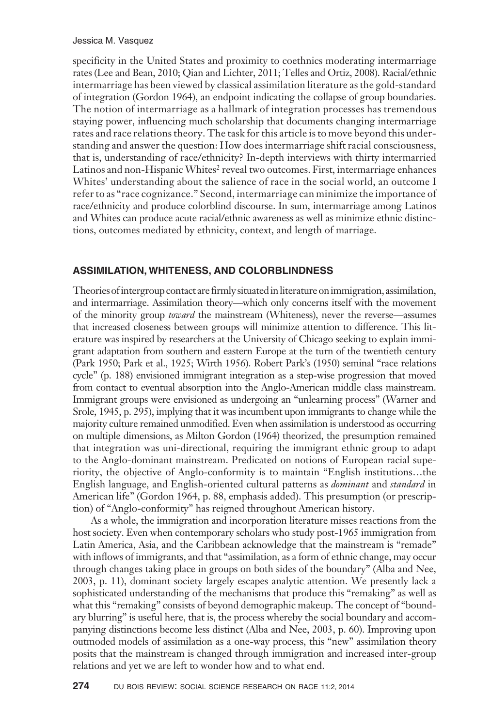## Jessica M. Vasquez

specificity in the United States and proximity to coethnics moderating intermarriage rates (Lee and Bean, 2010; Qian and Lichter, 2011; Telles and Ortiz, 2008). Racial/ethnic intermarriage has been viewed by classical assimilation literature as the gold-standard of integration (Gordon 1964 ), an endpoint indicating the collapse of group boundaries. The notion of intermarriage as a hallmark of integration processes has tremendous staying power, influencing much scholarship that documents changing intermarriage rates and race relations theory. The task for this article is to move beyond this understanding and answer the question: How does intermarriage shift racial consciousness, that is, understanding of race/ethnicity? In-depth interviews with thirty intermarried Latinos and non-Hispanic Whites<sup>2</sup> reveal two outcomes. First, intermarriage enhances Whites' understanding about the salience of race in the social world, an outcome I refer to as "race cognizance." Second, intermarriage can minimize the importance of race/ethnicity and produce colorblind discourse. In sum, intermarriage among Latinos and Whites can produce acute racial/ethnic awareness as well as minimize ethnic distinctions, outcomes mediated by ethnicity, context, and length of marriage.

# **ASSIMILATION, WHITENESS, AND COLORBLINDNESS**

Theories of intergroup contact are firmly situated in literature on immigration, assimilation, and intermarriage. Assimilation theory—which only concerns itself with the movement of the minority group *toward* the mainstream (Whiteness), never the reverse—assumes that increased closeness between groups will minimize attention to difference. This literature was inspired by researchers at the University of Chicago seeking to explain immigrant adaptation from southern and eastern Europe at the turn of the twentieth century (Park 1950; Park et al., 1925; Wirth 1956). Robert Park's (1950) seminal "race relations cycle" (p. 188) envisioned immigrant integration as a step-wise progression that moved from contact to eventual absorption into the Anglo-American middle class mainstream. Immigrant groups were envisioned as undergoing an "unlearning process" (Warner and Srole, 1945 , p. 295), implying that it was incumbent upon immigrants to change while the majority culture remained unmodified. Even when assimilation is understood as occurring on multiple dimensions, as Milton Gordon ( 1964 ) theorized, the presumption remained that integration was uni-directional, requiring the immigrant ethnic group to adapt to the Anglo-dominant mainstream. Predicated on notions of European racial superiority, the objective of Anglo-conformity is to maintain "English institutions…the English language, and English-oriented cultural patterns as *dominant* and *standard* in American life" (Gordon 1964, p. 88, emphasis added). This presumption (or prescription) of "Anglo-conformity" has reigned throughout American history.

As a whole, the immigration and incorporation literature misses reactions from the host society. Even when contemporary scholars who study post-1965 immigration from Latin America, Asia, and the Caribbean acknowledge that the mainstream is "remade" with inflows of immigrants, and that "assimilation, as a form of ethnic change, may occur through changes taking place in groups on both sides of the boundary" (Alba and Nee, 2003 , p. 11), dominant society largely escapes analytic attention. We presently lack a sophisticated understanding of the mechanisms that produce this "remaking" as well as what this "remaking" consists of beyond demographic makeup. The concept of "boundary blurring" is useful here, that is, the process whereby the social boundary and accompanying distinctions become less distinct (Alba and Nee, 2003 , p. 60). Improving upon outmoded models of assimilation as a one-way process, this "new" assimilation theory posits that the mainstream is changed through immigration and increased inter-group relations and yet we are left to wonder how and to what end.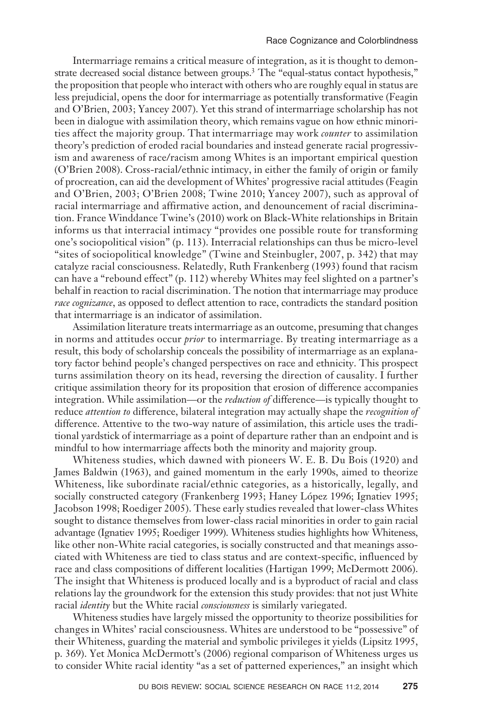Intermarriage remains a critical measure of integration, as it is thought to demonstrate decreased social distance between groups.<sup>3</sup> The "equal-status contact hypothesis," the proposition that people who interact with others who are roughly equal in status are less prejudicial, opens the door for intermarriage as potentially transformative (Feagin and O'Brien, 2003 ; Yancey 2007 ). Yet this strand of intermarriage scholarship has not been in dialogue with assimilation theory, which remains vague on how ethnic minorities affect the majority group. That intermarriage may work *counter* to assimilation theory's prediction of eroded racial boundaries and instead generate racial progressivism and awareness of race/racism among Whites is an important empirical question (O'Brien 2008 ). Cross-racial/ethnic intimacy, in either the family of origin or family of procreation, can aid the development of Whites' progressive racial attitudes (Feagin and O'Brien, 2003; O'Brien 2008; Twine 2010; Yancey 2007), such as approval of racial intermarriage and affirmative action, and denouncement of racial discrimination. France Winddance Twine's ( 2010 ) work on Black-White relationships in Britain informs us that interracial intimacy "provides one possible route for transforming one's sociopolitical vision" (p. 113). Interracial relationships can thus be micro-level "sites of sociopolitical knowledge" (Twine and Steinbugler, 2007, p. 342) that may catalyze racial consciousness. Relatedly, Ruth Frankenberg ( 1993 ) found that racism can have a "rebound effect" (p. 112) whereby Whites may feel slighted on a partner's behalf in reaction to racial discrimination. The notion that intermarriage may produce *race cognizance*, as opposed to deflect attention to race, contradicts the standard position that intermarriage is an indicator of assimilation.

Assimilation literature treats intermarriage as an outcome, presuming that changes in norms and attitudes occur *prior* to intermarriage. By treating intermarriage as a result, this body of scholarship conceals the possibility of intermarriage as an explanatory factor behind people's changed perspectives on race and ethnicity. This prospect turns assimilation theory on its head, reversing the direction of causality. I further critique assimilation theory for its proposition that erosion of difference accompanies integration. While assimilation—or the *reduction of* difference—is typically thought to reduce *attention to* difference, bilateral integration may actually shape the *recognition of* difference. Attentive to the two-way nature of assimilation, this article uses the traditional yardstick of intermarriage as a point of departure rather than an endpoint and is mindful to how intermarriage affects both the minority and majority group.

Whiteness studies, which dawned with pioneers W. E. B. Du Bois (1920) and James Baldwin (1963), and gained momentum in the early 1990s, aimed to theorize Whiteness, like subordinate racial/ethnic categories, as a historically, legally, and socially constructed category (Frankenberg 1993; Haney López 1996; Ignatiev 1995; Jacobson 1998; Roediger 2005). These early studies revealed that lower-class Whites sought to distance themselves from lower-class racial minorities in order to gain racial advantage (Ignatiev 1995; Roediger 1999). Whiteness studies highlights how Whiteness, like other non-White racial categories, is socially constructed and that meanings associated with Whiteness are tied to class status and are context-specific, influenced by race and class compositions of different localities (Hartigan 1999; McDermott 2006). The insight that Whiteness is produced locally and is a byproduct of racial and class relations lay the groundwork for the extension this study provides: that not just White racial *identity* but the White racial *consciousness* is similarly variegated.

Whiteness studies have largely missed the opportunity to theorize possibilities for changes in Whites' racial consciousness. Whites are understood to be "possessive" of their Whiteness, guarding the material and symbolic privileges it yields (Lipsitz 1995 , p. 369). Yet Monica McDermott's ( 2006 ) regional comparison of Whiteness urges us to consider White racial identity "as a set of patterned experiences," an insight which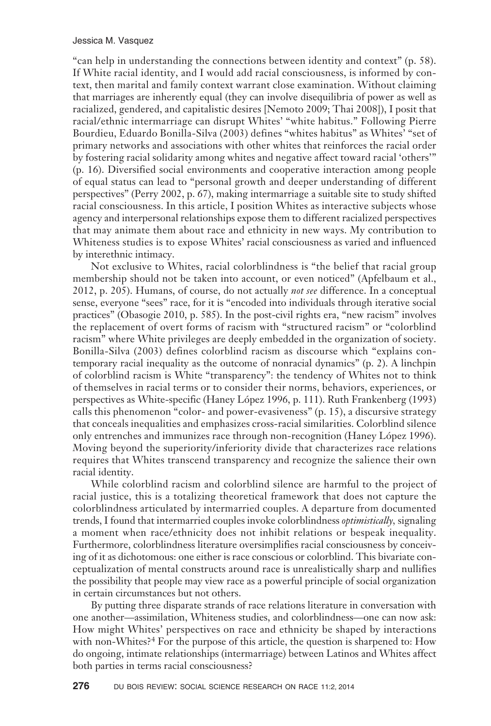"can help in understanding the connections between identity and context" (p. 58). If White racial identity, and I would add racial consciousness, is informed by context, then marital and family context warrant close examination. Without claiming that marriages are inherently equal (they can involve disequilibria of power as well as racialized, gendered, and capitalistic desires [Nemoto 2009; Thai 2008]), I posit that racial/ethnic intermarriage can disrupt Whites' "white habitus." Following Pierre Bourdieu, Eduardo Bonilla-Silva ( 2003 ) defines "whites habitus" as Whites' "set of primary networks and associations with other whites that reinforces the racial order by fostering racial solidarity among whites and negative affect toward racial 'others'" (p. 16). Diversified social environments and cooperative interaction among people of equal status can lead to "personal growth and deeper understanding of different perspectives" (Perry 2002 , p. 67), making intermarriage a suitable site to study shifted racial consciousness. In this article, I position Whites as interactive subjects whose agency and interpersonal relationships expose them to different racialized perspectives that may animate them about race and ethnicity in new ways. My contribution to Whiteness studies is to expose Whites' racial consciousness as varied and influenced by interethnic intimacy.

Not exclusive to Whites, racial colorblindness is "the belief that racial group membership should not be taken into account, or even noticed" (Apfelbaum et al., 2012 , p. 205). Humans, of course, do not actually *not see* difference. In a conceptual sense, everyone "sees" race, for it is "encoded into individuals through iterative social practices" (Obasogie 2010 , p. 585). In the post-civil rights era, "new racism" involves the replacement of overt forms of racism with "structured racism" or "colorblind racism" where White privileges are deeply embedded in the organization of society. Bonilla-Silva (2003) defines colorblind racism as discourse which "explains contemporary racial inequality as the outcome of nonracial dynamics" (p. 2). A linchpin of colorblind racism is White "transparency": the tendency of Whites not to think of themselves in racial terms or to consider their norms, behaviors, experiences, or perspectives as White-specific (Haney López 1996, p. 111). Ruth Frankenberg ( 1993 ) calls this phenomenon "color- and power-evasiveness" (p. 15), a discursive strategy that conceals inequalities and emphasizes cross-racial similarities. Colorblind silence only entrenches and immunizes race through non-recognition (Haney López 1996). Moving beyond the superiority/inferiority divide that characterizes race relations requires that Whites transcend transparency and recognize the salience their own racial identity.

While colorblind racism and colorblind silence are harmful to the project of racial justice, this is a totalizing theoretical framework that does not capture the colorblindness articulated by intermarried couples. A departure from documented trends, I found that intermarried couples invoke colorblindness *optimistically,* signaling a moment when race/ethnicity does not inhibit relations or bespeak inequality. Furthermore, colorblindness literature oversimplifies racial consciousness by conceiving of it as dichotomous: one either is race conscious or colorblind. This bivariate conceptualization of mental constructs around race is unrealistically sharp and nullifies the possibility that people may view race as a powerful principle of social organization in certain circumstances but not others.

By putting three disparate strands of race relations literature in conversation with one another—assimilation, Whiteness studies, and colorblindness—one can now ask: How might Whites' perspectives on race and ethnicity be shaped by interactions with non-Whites? $4$  For the purpose of this article, the question is sharpened to: How do ongoing, intimate relationships (intermarriage) between Latinos and Whites affect both parties in terms racial consciousness?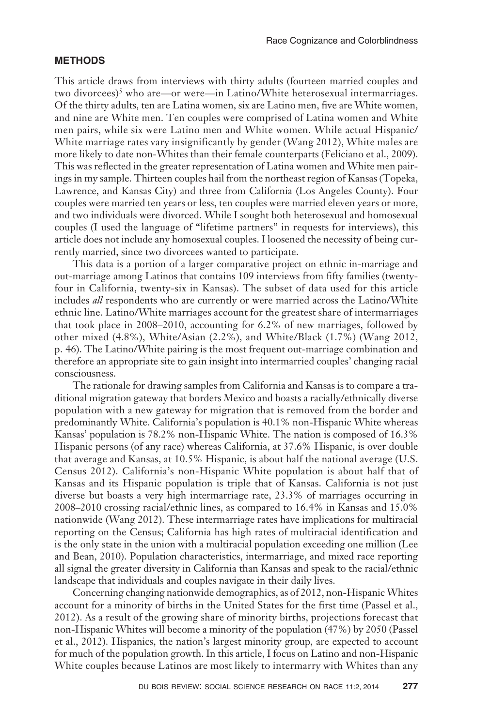#### **METHODS**

This article draws from interviews with thirty adults (fourteen married couples and two divorcees)<sup>5</sup> who are—or were—in Latino/White heterosexual intermarriages. Of the thirty adults, ten are Latina women, six are Latino men, five are White women, and nine are White men. Ten couples were comprised of Latina women and White men pairs, while six were Latino men and White women. While actual Hispanic/ White marriage rates vary insignificantly by gender (Wang 2012), White males are more likely to date non-Whites than their female counterparts (Feliciano et al., 2009). This was reflected in the greater representation of Latina women and White men pairings in my sample. Thirteen couples hail from the northeast region of Kansas (Topeka, Lawrence, and Kansas City) and three from California (Los Angeles County). Four couples were married ten years or less, ten couples were married eleven years or more, and two individuals were divorced. While I sought both heterosexual and homosexual couples (I used the language of "lifetime partners" in requests for interviews), this article does not include any homosexual couples. I loosened the necessity of being currently married, since two divorcees wanted to participate.

This data is a portion of a larger comparative project on ethnic in-marriage and out-marriage among Latinos that contains 109 interviews from fifty families (twentyfour in California, twenty-six in Kansas). The subset of data used for this article includes *all* respondents who are currently or were married across the Latino/White ethnic line. Latino/White marriages account for the greatest share of intermarriages that took place in 2008–2010, accounting for 6.2% of new marriages, followed by other mixed (4.8%), White/Asian (2.2%), and White/Black (1.7%) (Wang 2012 , p. 46). The Latino/White pairing is the most frequent out-marriage combination and therefore an appropriate site to gain insight into intermarried couples' changing racial consciousness.

The rationale for drawing samples from California and Kansas is to compare a traditional migration gateway that borders Mexico and boasts a racially/ethnically diverse population with a new gateway for migration that is removed from the border and predominantly White. California's population is 40.1% non-Hispanic White whereas Kansas' population is 78.2% non-Hispanic White. The nation is composed of 16.3% Hispanic persons (of any race) whereas California, at 37.6% Hispanic, is over double that average and Kansas, at 10.5% Hispanic, is about half the national average (U.S. Census 2012 ). California's non-Hispanic White population is about half that of Kansas and its Hispanic population is triple that of Kansas. California is not just diverse but boasts a very high intermarriage rate, 23.3% of marriages occurring in 2008–2010 crossing racial/ethnic lines, as compared to 16.4% in Kansas and 15.0% nationwide (Wang 2012). These intermarriage rates have implications for multiracial reporting on the Census; California has high rates of multiracial identification and is the only state in the union with a multiracial population exceeding one million (Lee and Bean, 2010 ). Population characteristics, intermarriage, and mixed race reporting all signal the greater diversity in California than Kansas and speak to the racial/ethnic landscape that individuals and couples navigate in their daily lives.

Concerning changing nationwide demographics, as of 2012, non-Hispanic Whites account for a minority of births in the United States for the first time (Passel et al., 2012 ). As a result of the growing share of minority births, projections forecast that non-Hispanic Whites will become a minority of the population (47%) by 2050 (Passel et al., 2012 ). Hispanics, the nation's largest minority group, are expected to account for much of the population growth. In this article, I focus on Latino and non-Hispanic White couples because Latinos are most likely to intermarry with Whites than any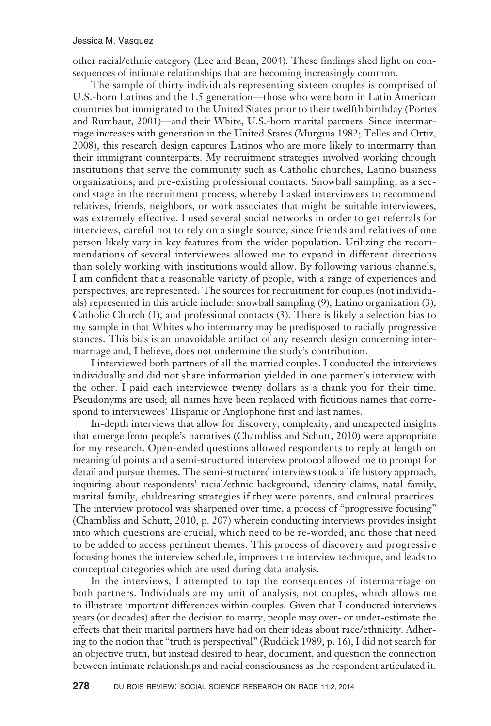#### Jessica M. Vasquez

other racial/ethnic category (Lee and Bean, 2004). These findings shed light on consequences of intimate relationships that are becoming increasingly common.

The sample of thirty individuals representing sixteen couples is comprised of U.S.-born Latinos and the 1.5 generation—those who were born in Latin American countries but immigrated to the United States prior to their twelfth birthday (Portes and Rumbaut, 2001)—and their White, U.S.-born marital partners. Since intermarriage increases with generation in the United States (Murguia 1982 ; Telles and Ortiz, 2008), this research design captures Latinos who are more likely to intermarry than their immigrant counterparts. My recruitment strategies involved working through institutions that serve the community such as Catholic churches, Latino business organizations, and pre-existing professional contacts. Snowball sampling, as a second stage in the recruitment process, whereby I asked interviewees to recommend relatives, friends, neighbors, or work associates that might be suitable interviewees, was extremely effective. I used several social networks in order to get referrals for interviews, careful not to rely on a single source, since friends and relatives of one person likely vary in key features from the wider population. Utilizing the recommendations of several interviewees allowed me to expand in different directions than solely working with institutions would allow. By following various channels, I am confident that a reasonable variety of people, with a range of experiences and perspectives, are represented. The sources for recruitment for couples (not individuals) represented in this article include: snowball sampling (9), Latino organization (3), Catholic Church (1), and professional contacts (3). There is likely a selection bias to my sample in that Whites who intermarry may be predisposed to racially progressive stances. This bias is an unavoidable artifact of any research design concerning intermarriage and, I believe, does not undermine the study's contribution.

I interviewed both partners of all the married couples. I conducted the interviews individually and did not share information yielded in one partner's interview with the other. I paid each interviewee twenty dollars as a thank you for their time. Pseudonyms are used; all names have been replaced with fictitious names that correspond to interviewees' Hispanic or Anglophone first and last names.

In-depth interviews that allow for discovery, complexity, and unexpected insights that emerge from people's narratives (Chambliss and Schutt, 2010 ) were appropriate for my research. Open-ended questions allowed respondents to reply at length on meaningful points and a semi-structured interview protocol allowed me to prompt for detail and pursue themes. The semi-structured interviews took a life history approach, inquiring about respondents' racial/ethnic background, identity claims, natal family, marital family, childrearing strategies if they were parents, and cultural practices. The interview protocol was sharpened over time, a process of "progressive focusing" (Chambliss and Schutt, 2010 , p. 207) wherein conducting interviews provides insight into which questions are crucial, which need to be re-worded, and those that need to be added to access pertinent themes. This process of discovery and progressive focusing hones the interview schedule, improves the interview technique, and leads to conceptual categories which are used during data analysis.

In the interviews, I attempted to tap the consequences of intermarriage on both partners. Individuals are my unit of analysis, not couples, which allows me to illustrate important differences within couples. Given that I conducted interviews years (or decades) after the decision to marry, people may over- or under-estimate the effects that their marital partners have had on their ideas about race/ethnicity. Adhering to the notion that "truth is perspectival" (Ruddick 1989 , p. 16), I did not search for an objective truth, but instead desired to hear, document, and question the connection between intimate relationships and racial consciousness as the respondent articulated it.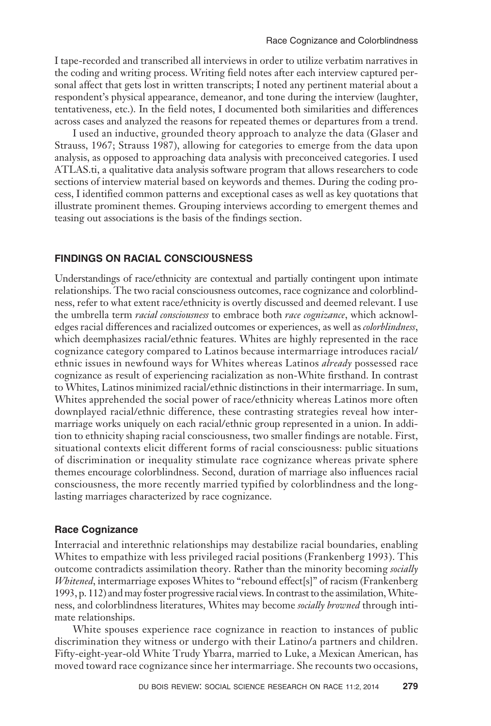I tape-recorded and transcribed all interviews in order to utilize verbatim narratives in the coding and writing process. Writing field notes after each interview captured personal affect that gets lost in written transcripts; I noted any pertinent material about a respondent's physical appearance, demeanor, and tone during the interview (laughter, tentativeness, etc.). In the field notes, I documented both similarities and differences across cases and analyzed the reasons for repeated themes or departures from a trend.

I used an inductive, grounded theory approach to analyze the data (Glaser and Strauss, 1967; Strauss 1987), allowing for categories to emerge from the data upon analysis, as opposed to approaching data analysis with preconceived categories. I used ATLAS.ti, a qualitative data analysis software program that allows researchers to code sections of interview material based on keywords and themes. During the coding process, I identified common patterns and exceptional cases as well as key quotations that illustrate prominent themes. Grouping interviews according to emergent themes and teasing out associations is the basis of the findings section.

# **FINDINGS ON RACIAL CONSCIOUSNESS**

Understandings of race/ethnicity are contextual and partially contingent upon intimate relationships. The two racial consciousness outcomes, race cognizance and colorblindness, refer to what extent race/ethnicity is overtly discussed and deemed relevant. I use the umbrella term *racial consciousness* to embrace both *race cognizance*, which acknowledges racial differences and racialized outcomes or experiences, as well as *colorblindness*, which deemphasizes racial/ethnic features. Whites are highly represented in the race cognizance category compared to Latinos because intermarriage introduces racial/ ethnic issues in newfound ways for Whites whereas Latinos *already* possessed race cognizance as result of experiencing racialization as non-White firsthand. In contrast to Whites, Latinos minimized racial/ethnic distinctions in their intermarriage. In sum, Whites apprehended the social power of race/ethnicity whereas Latinos more often downplayed racial/ethnic difference, these contrasting strategies reveal how intermarriage works uniquely on each racial/ethnic group represented in a union. In addition to ethnicity shaping racial consciousness, two smaller findings are notable. First, situational contexts elicit different forms of racial consciousness: public situations of discrimination or inequality stimulate race cognizance whereas private sphere themes encourage colorblindness. Second, duration of marriage also influences racial consciousness, the more recently married typified by colorblindness and the longlasting marriages characterized by race cognizance.

# **Race Cognizance**

Interracial and interethnic relationships may destabilize racial boundaries, enabling Whites to empathize with less privileged racial positions (Frankenberg 1993). This outcome contradicts assimilation theory. Rather than the minority becoming *socially Whitened*, intermarriage exposes Whites to "rebound effect[s]" of racism (Frankenberg 1993 , p. 112) and may foster progressive racial views. In contrast to the assimilation, Whiteness, and colorblindness literatures, Whites may become *socially browned* through intimate relationships.

White spouses experience race cognizance in reaction to instances of public discrimination they witness or undergo with their Latino/a partners and children. Fifty-eight-year-old White Trudy Ybarra, married to Luke, a Mexican American, has moved toward race cognizance since her intermarriage. She recounts two occasions,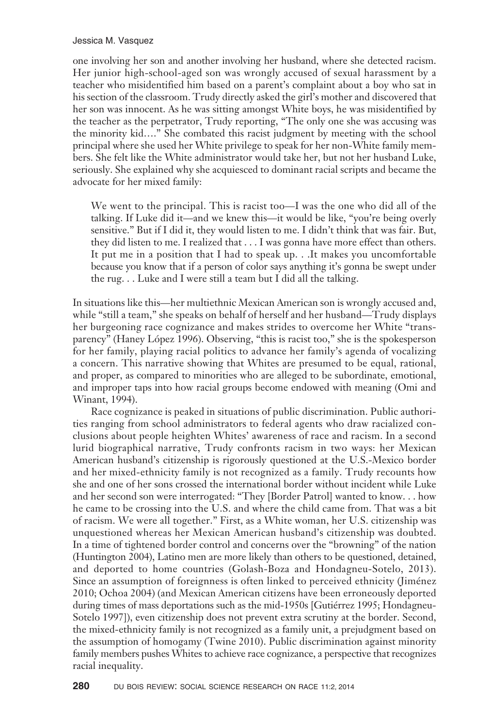one involving her son and another involving her husband, where she detected racism. Her junior high-school-aged son was wrongly accused of sexual harassment by a teacher who misidentified him based on a parent's complaint about a boy who sat in his section of the classroom. Trudy directly asked the girl's mother and discovered that her son was innocent. As he was sitting amongst White boys, he was misidentified by the teacher as the perpetrator, Trudy reporting, "The only one she was accusing was the minority kid…." She combated this racist judgment by meeting with the school principal where she used her White privilege to speak for her non-White family members. She felt like the White administrator would take her, but not her husband Luke, seriously. She explained why she acquiesced to dominant racial scripts and became the advocate for her mixed family:

We went to the principal. This is racist too—I was the one who did all of the talking. If Luke did it—and we knew this—it would be like, "you're being overly sensitive." But if I did it, they would listen to me. I didn't think that was fair. But, they did listen to me. I realized that . . . I was gonna have more effect than others. It put me in a position that I had to speak up. . .It makes you uncomfortable because you know that if a person of color says anything it's gonna be swept under the rug. . . Luke and I were still a team but I did all the talking.

In situations like this—her multiethnic Mexican American son is wrongly accused and, while "still a team," she speaks on behalf of herself and her husband—Trudy displays her burgeoning race cognizance and makes strides to overcome her White "transparency" (Haney López 1996). Observing, "this is racist too," she is the spokesperson for her family, playing racial politics to advance her family's agenda of vocalizing a concern. This narrative showing that Whites are presumed to be equal, rational, and proper, as compared to minorities who are alleged to be subordinate, emotional, and improper taps into how racial groups become endowed with meaning (Omi and Winant, 1994).

Race cognizance is peaked in situations of public discrimination. Public authorities ranging from school administrators to federal agents who draw racialized conclusions about people heighten Whites' awareness of race and racism. In a second lurid biographical narrative, Trudy confronts racism in two ways: her Mexican American husband's citizenship is rigorously questioned at the U.S.-Mexico border and her mixed-ethnicity family is not recognized as a family. Trudy recounts how she and one of her sons crossed the international border without incident while Luke and her second son were interrogated: "They [Border Patrol] wanted to know. . . how he came to be crossing into the U.S. and where the child came from. That was a bit of racism. We were all together." First, as a White woman, her U.S. citizenship was unquestioned whereas her Mexican American husband's citizenship was doubted. In a time of tightened border control and concerns over the "browning" of the nation (Huntington 2004), Latino men are more likely than others to be questioned, detained, and deported to home countries (Golash-Boza and Hondagneu-Sotelo, 2013 ). Since an assumption of foreignness is often linked to perceived ethnicity (Jiménez 2010; Ochoa 2004) (and Mexican American citizens have been erroneously deported during times of mass deportations such as the mid-1950s [Gutiérrez 1995 ; Hondagneu-Sotelo 1997]), even citizenship does not prevent extra scrutiny at the border. Second, the mixed-ethnicity family is not recognized as a family unit, a prejudgment based on the assumption of homogamy (Twine 2010). Public discrimination against minority family members pushes Whites to achieve race cognizance, a perspective that recognizes racial inequality.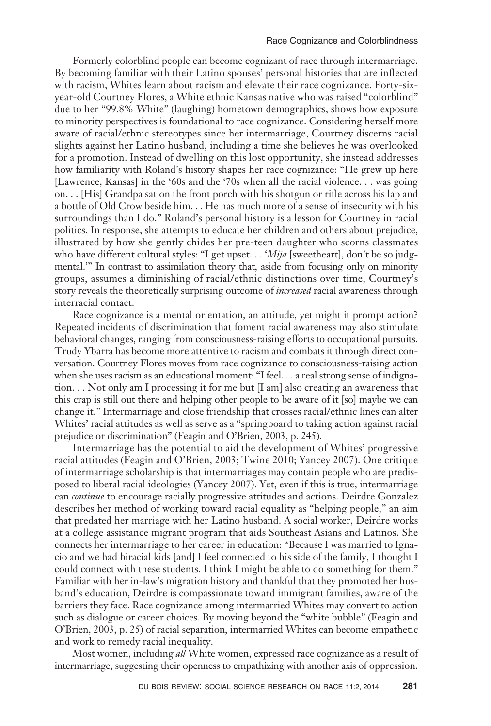#### Race Cognizance and Colorblindness

Formerly colorblind people can become cognizant of race through intermarriage. By becoming familiar with their Latino spouses' personal histories that are inflected with racism, Whites learn about racism and elevate their race cognizance. Forty-sixyear-old Courtney Flores, a White ethnic Kansas native who was raised "colorblind" due to her "99.8% White" (laughing) hometown demographics, shows how exposure to minority perspectives is foundational to race cognizance. Considering herself more aware of racial/ethnic stereotypes since her intermarriage, Courtney discerns racial slights against her Latino husband, including a time she believes he was overlooked for a promotion. Instead of dwelling on this lost opportunity, she instead addresses how familiarity with Roland's history shapes her race cognizance: "He grew up here [Lawrence, Kansas] in the '60s and the '70s when all the racial violence. . . was going on. . . [His] Grandpa sat on the front porch with his shotgun or rifle across his lap and a bottle of Old Crow beside him. . . He has much more of a sense of insecurity with his surroundings than I do." Roland's personal history is a lesson for Courtney in racial politics. In response, she attempts to educate her children and others about prejudice, illustrated by how she gently chides her pre-teen daughter who scorns classmates who have different cultural styles: "I get upset. . . '*Mija* [sweetheart], don't be so judgmental.'" In contrast to assimilation theory that, aside from focusing only on minority groups, assumes a diminishing of racial/ethnic distinctions over time, Courtney's story reveals the theoretically surprising outcome of *increased* racial awareness through interracial contact.

Race cognizance is a mental orientation, an attitude, yet might it prompt action? Repeated incidents of discrimination that foment racial awareness may also stimulate behavioral changes, ranging from consciousness-raising efforts to occupational pursuits. Trudy Ybarra has become more attentive to racism and combats it through direct conversation. Courtney Flores moves from race cognizance to consciousness-raising action when she uses racism as an educational moment: "I feel. . . a real strong sense of indignation. . . Not only am I processing it for me but [I am] also creating an awareness that this crap is still out there and helping other people to be aware of it [so] maybe we can change it." Intermarriage and close friendship that crosses racial/ethnic lines can alter Whites' racial attitudes as well as serve as a "springboard to taking action against racial prejudice or discrimination" (Feagin and O'Brien, 2003, p. 245).

Intermarriage has the potential to aid the development of Whites' progressive racial attitudes (Feagin and O'Brien, 2003; Twine 2010; Yancey 2007). One critique of intermarriage scholarship is that intermarriages may contain people who are predisposed to liberal racial ideologies (Yancey 2007 ). Yet, even if this is true, intermarriage can *continue* to encourage racially progressive attitudes and actions. Deirdre Gonzalez describes her method of working toward racial equality as "helping people," an aim that predated her marriage with her Latino husband. A social worker, Deirdre works at a college assistance migrant program that aids Southeast Asians and Latinos. She connects her intermarriage to her career in education: "Because I was married to Ignacio and we had biracial kids [and] I feel connected to his side of the family, I thought I could connect with these students. I think I might be able to do something for them." Familiar with her in-law's migration history and thankful that they promoted her husband's education, Deirdre is compassionate toward immigrant families, aware of the barriers they face. Race cognizance among intermarried Whites may convert to action such as dialogue or career choices. By moving beyond the "white bubble" (Feagin and O'Brien, 2003 , p. 25) of racial separation, intermarried Whites can become empathetic and work to remedy racial inequality.

Most women, including *all* White women, expressed race cognizance as a result of intermarriage, suggesting their openness to empathizing with another axis of oppression.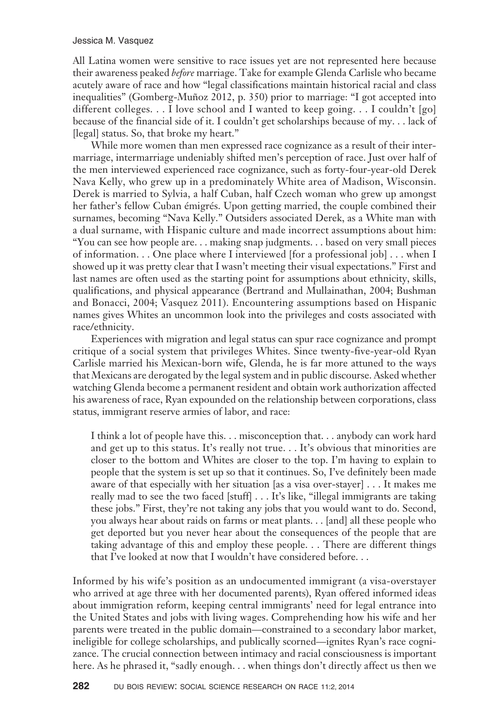All Latina women were sensitive to race issues yet are not represented here because their awareness peaked *before* marriage. Take for example Glenda Carlisle who became acutely aware of race and how "legal classifications maintain historical racial and class inequalities" (Gomberg-Muñoz 2012, p. 350) prior to marriage: "I got accepted into different colleges. . . I love school and I wanted to keep going. . . I couldn't [go] because of the financial side of it. I couldn't get scholarships because of my. . . lack of [legal] status. So, that broke my heart."

While more women than men expressed race cognizance as a result of their intermarriage, intermarriage undeniably shifted men's perception of race. Just over half of the men interviewed experienced race cognizance, such as forty-four-year-old Derek Nava Kelly, who grew up in a predominately White area of Madison, Wisconsin. Derek is married to Sylvia, a half Cuban, half Czech woman who grew up amongst her father's fellow Cuban émigrés. Upon getting married, the couple combined their surnames, becoming "Nava Kelly." Outsiders associated Derek, as a White man with a dual surname, with Hispanic culture and made incorrect assumptions about him: "You can see how people are. . . making snap judgments. . . based on very small pieces of information. . . One place where I interviewed [for a professional job] . . . when I showed up it was pretty clear that I wasn't meeting their visual expectations." First and last names are often used as the starting point for assumptions about ethnicity, skills, qualifications, and physical appearance (Bertrand and Mullainathan, 2004; Bushman and Bonacci, 2004; Vasquez 2011). Encountering assumptions based on Hispanic names gives Whites an uncommon look into the privileges and costs associated with race/ethnicity.

Experiences with migration and legal status can spur race cognizance and prompt critique of a social system that privileges Whites. Since twenty-five-year-old Ryan Carlisle married his Mexican-born wife, Glenda, he is far more attuned to the ways that Mexicans are derogated by the legal system and in public discourse. Asked whether watching Glenda become a permanent resident and obtain work authorization affected his awareness of race, Ryan expounded on the relationship between corporations, class status, immigrant reserve armies of labor, and race:

I think a lot of people have this. . . misconception that. . . anybody can work hard and get up to this status. It's really not true. . . It's obvious that minorities are closer to the bottom and Whites are closer to the top. I'm having to explain to people that the system is set up so that it continues. So, I've definitely been made aware of that especially with her situation [as a visa over-stayer] . . . It makes me really mad to see the two faced [stuff] . . . It's like, "illegal immigrants are taking these jobs." First, they're not taking any jobs that you would want to do. Second, you always hear about raids on farms or meat plants. . . [and] all these people who get deported but you never hear about the consequences of the people that are taking advantage of this and employ these people. . . There are different things that I've looked at now that I wouldn't have considered before. . .

Informed by his wife's position as an undocumented immigrant (a visa-overstayer who arrived at age three with her documented parents), Ryan offered informed ideas about immigration reform, keeping central immigrants' need for legal entrance into the United States and jobs with living wages. Comprehending how his wife and her parents were treated in the public domain—constrained to a secondary labor market, ineligible for college scholarships, and publically scorned—ignites Ryan's race cognizance. The crucial connection between intimacy and racial consciousness is important here. As he phrased it, "sadly enough. . . when things don't directly affect us then we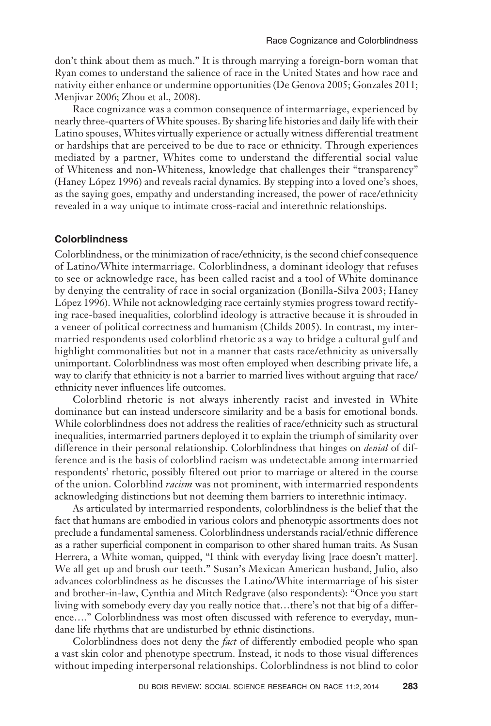don't think about them as much." It is through marrying a foreign-born woman that Ryan comes to understand the salience of race in the United States and how race and nativity either enhance or undermine opportunities (De Genova 2005; Gonzales 2011 ; Menjivar 2006; Zhou et al., 2008).

Race cognizance was a common consequence of intermarriage, experienced by nearly three-quarters of White spouses. By sharing life histories and daily life with their Latino spouses, Whites virtually experience or actually witness differential treatment or hardships that are perceived to be due to race or ethnicity. Through experiences mediated by a partner, Whites come to understand the differential social value of Whiteness and non-Whiteness, knowledge that challenges their "transparency" (Haney López 1996) and reveals racial dynamics. By stepping into a loved one's shoes, as the saying goes, empathy and understanding increased, the power of race/ethnicity revealed in a way unique to intimate cross-racial and interethnic relationships.

#### **Colorblindness**

Colorblindness, or the minimization of race/ethnicity, is the second chief consequence of Latino/White intermarriage. Colorblindness, a dominant ideology that refuses to see or acknowledge race, has been called racist and a tool of White dominance by denying the centrality of race in social organization (Bonilla-Silva 2003; Haney López 1996). While not acknowledging race certainly stymies progress toward rectifying race-based inequalities, colorblind ideology is attractive because it is shrouded in a veneer of political correctness and humanism (Childs 2005). In contrast, my intermarried respondents used colorblind rhetoric as a way to bridge a cultural gulf and highlight commonalities but not in a manner that casts race/ethnicity as universally unimportant. Colorblindness was most often employed when describing private life, a way to clarify that ethnicity is not a barrier to married lives without arguing that race/ ethnicity never influences life outcomes.

Colorblind rhetoric is not always inherently racist and invested in White dominance but can instead underscore similarity and be a basis for emotional bonds. While colorblindness does not address the realities of race/ethnicity such as structural inequalities, intermarried partners deployed it to explain the triumph of similarity over difference in their personal relationship. Colorblindness that hinges on *denial* of difference and is the basis of colorblind racism was undetectable among intermarried respondents' rhetoric, possibly filtered out prior to marriage or altered in the course of the union. Colorblind *racism* was not prominent, with intermarried respondents acknowledging distinctions but not deeming them barriers to interethnic intimacy.

As articulated by intermarried respondents, colorblindness is the belief that the fact that humans are embodied in various colors and phenotypic assortments does not preclude a fundamental sameness. Colorblindness understands racial/ethnic difference as a rather superficial component in comparison to other shared human traits. As Susan Herrera, a White woman, quipped, "I think with everyday living [race doesn't matter]. We all get up and brush our teeth." Susan's Mexican American husband, Julio, also advances colorblindness as he discusses the Latino/White intermarriage of his sister and brother-in-law, Cynthia and Mitch Redgrave (also respondents): "Once you start living with somebody every day you really notice that…there's not that big of a difference…." Colorblindness was most often discussed with reference to everyday, mundane life rhythms that are undisturbed by ethnic distinctions.

Colorblindness does not deny the *fact* of differently embodied people who span a vast skin color and phenotype spectrum. Instead, it nods to those visual differences without impeding interpersonal relationships. Colorblindness is not blind to color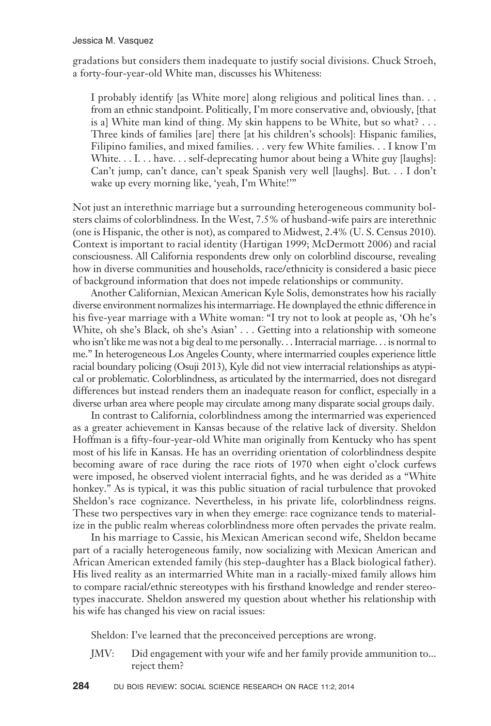#### Jessica M. Vasquez

gradations but considers them inadequate to justify social divisions. Chuck Stroeh, a forty-four-year-old White man, discusses his Whiteness:

I probably identify [as White more] along religious and political lines than. . . from an ethnic standpoint. Politically, I'm more conservative and, obviously, [that is a] White man kind of thing. My skin happens to be White, but so what? . . . Three kinds of families [are] there [at his children's schools]: Hispanic families, Filipino families, and mixed families. . . very few White families. . . I know I'm White. . . I. . . have. . . self-deprecating humor about being a White guy [laughs]: Can't jump, can't dance, can't speak Spanish very well [laughs]. But. . . I don't wake up every morning like, 'yeah, I'm White!'"

Not just an interethnic marriage but a surrounding heterogeneous community bolsters claims of colorblindness. In the West, 7.5% of husband-wife pairs are interethnic (one is Hispanic, the other is not), as compared to Midwest, 2.4% (U. S. Census 2010). Context is important to racial identity (Hartigan 1999; McDermott 2006) and racial consciousness. All California respondents drew only on colorblind discourse, revealing how in diverse communities and households, race/ethnicity is considered a basic piece of background information that does not impede relationships or community.

Another Californian, Mexican American Kyle Solis, demonstrates how his racially diverse environment normalizes his intermarriage. He downplayed the ethnic difference in his five-year marriage with a White woman: "I try not to look at people as, 'Oh he's White, oh she's Black, oh she's Asian' . . . Getting into a relationship with someone who isn't like me was not a big deal to me personally. . . Interracial marriage. . . is normal to me." In heterogeneous Los Angeles County, where intermarried couples experience little racial boundary policing (Osuji 2013 ), Kyle did not view interracial relationships as atypical or problematic. Colorblindness, as articulated by the intermarried, does not disregard differences but instead renders them an inadequate reason for conflict, especially in a diverse urban area where people may circulate among many disparate social groups daily.

In contrast to California, colorblindness among the intermarried was experienced as a greater achievement in Kansas because of the relative lack of diversity. Sheldon Hoffman is a fifty-four-year-old White man originally from Kentucky who has spent most of his life in Kansas. He has an overriding orientation of colorblindness despite becoming aware of race during the race riots of 1970 when eight o'clock curfews were imposed, he observed violent interracial fights, and he was derided as a "White honkey." As is typical, it was this public situation of racial turbulence that provoked Sheldon's race cognizance. Nevertheless, in his private life, colorblindness reigns. These two perspectives vary in when they emerge: race cognizance tends to materialize in the public realm whereas colorblindness more often pervades the private realm.

In his marriage to Cassie, his Mexican American second wife, Sheldon became part of a racially heterogeneous family, now socializing with Mexican American and African American extended family (his step-daughter has a Black biological father). His lived reality as an intermarried White man in a racially-mixed family allows him to compare racial/ethnic stereotypes with his firsthand knowledge and render stereotypes inaccurate. Sheldon answered my question about whether his relationship with his wife has changed his view on racial issues:

Sheldon: I've learned that the preconceived perceptions are wrong.

JMV: Did engagement with your wife and her family provide ammunition to... reject them?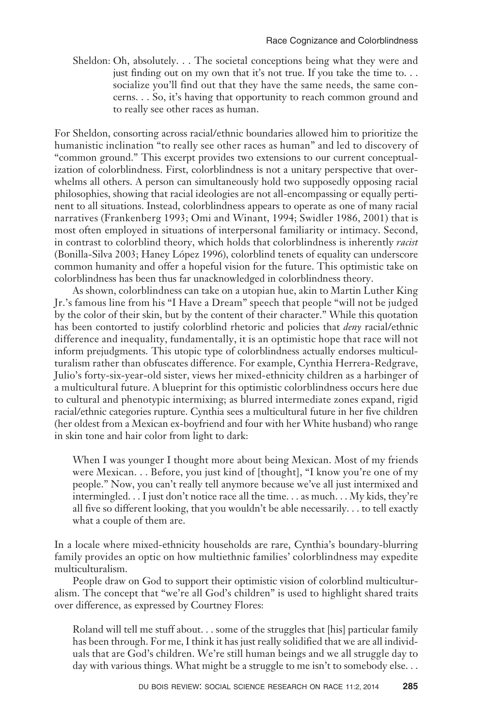Sheldon: Oh, absolutely. . . The societal conceptions being what they were and just finding out on my own that it's not true. If you take the time to. . . socialize you'll find out that they have the same needs, the same concerns. . . So, it's having that opportunity to reach common ground and to really see other races as human.

For Sheldon, consorting across racial/ethnic boundaries allowed him to prioritize the humanistic inclination "to really see other races as human" and led to discovery of "common ground." This excerpt provides two extensions to our current conceptualization of colorblindness. First, colorblindness is not a unitary perspective that overwhelms all others. A person can simultaneously hold two supposedly opposing racial philosophies, showing that racial ideologies are not all-encompassing or equally pertinent to all situations. Instead, colorblindness appears to operate as one of many racial narratives (Frankenberg 1993; Omi and Winant, 1994; Swidler 1986, 2001) that is most often employed in situations of interpersonal familiarity or intimacy. Second, in contrast to colorblind theory, which holds that colorblindness is inherently *racist* (Bonilla-Silva 2003 ; Haney López 1996), colorblind tenets of equality can underscore common humanity and offer a hopeful vision for the future. This optimistic take on colorblindness has been thus far unacknowledged in colorblindness theory.

As shown, colorblindness can take on a utopian hue, akin to Martin Luther King Jr.'s famous line from his "I Have a Dream" speech that people "will not be judged by the color of their skin, but by the content of their character." While this quotation has been contorted to justify colorblind rhetoric and policies that *deny* racial/ethnic difference and inequality, fundamentally, it is an optimistic hope that race will not inform prejudgments. This utopic type of colorblindness actually endorses multiculturalism rather than obfuscates difference. For example, Cynthia Herrera-Redgrave, Julio's forty-six-year-old sister, views her mixed-ethnicity children as a harbinger of a multicultural future. A blueprint for this optimistic colorblindness occurs here due to cultural and phenotypic intermixing; as blurred intermediate zones expand, rigid racial/ethnic categories rupture. Cynthia sees a multicultural future in her five children (her oldest from a Mexican ex-boyfriend and four with her White husband) who range in skin tone and hair color from light to dark:

When I was younger I thought more about being Mexican. Most of my friends were Mexican. . . Before, you just kind of [thought], "I know you're one of my people." Now, you can't really tell anymore because we've all just intermixed and intermingled. . . I just don't notice race all the time. . . as much. . . My kids, they're all five so different looking, that you wouldn't be able necessarily. . . to tell exactly what a couple of them are.

In a locale where mixed-ethnicity households are rare, Cynthia's boundary-blurring family provides an optic on how multiethnic families' colorblindness may expedite multiculturalism.

People draw on God to support their optimistic vision of colorblind multiculturalism. The concept that "we're all God's children" is used to highlight shared traits over difference, as expressed by Courtney Flores:

Roland will tell me stuff about. . . some of the struggles that [his] particular family has been through. For me, I think it has just really solidified that we are all individuals that are God's children. We're still human beings and we all struggle day to day with various things. What might be a struggle to me isn't to somebody else...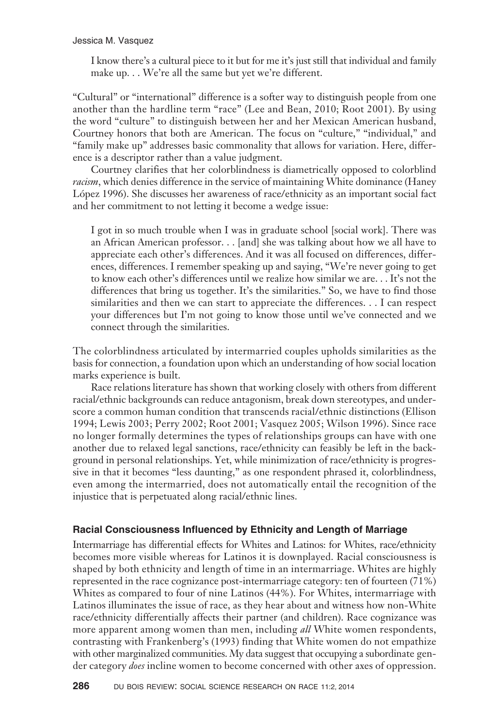I know there's a cultural piece to it but for me it's just still that individual and family make up. . . We're all the same but yet we're different.

"Cultural" or "international" difference is a softer way to distinguish people from one another than the hardline term "race" (Lee and Bean, 2010; Root 2001). By using the word "culture" to distinguish between her and her Mexican American husband, Courtney honors that both are American. The focus on "culture," "individual," and "family make up" addresses basic commonality that allows for variation. Here, difference is a descriptor rather than a value judgment.

Courtney clarifies that her colorblindness is diametrically opposed to colorblind *racism*, which denies difference in the service of maintaining White dominance (Haney López 1996). She discusses her awareness of race/ethnicity as an important social fact and her commitment to not letting it become a wedge issue:

I got in so much trouble when I was in graduate school [social work]. There was an African American professor. . . [and] she was talking about how we all have to appreciate each other's differences. And it was all focused on differences, differences, differences. I remember speaking up and saying, "We're never going to get to know each other's differences until we realize how similar we are. . . It's not the differences that bring us together. It's the similarities." So, we have to find those similarities and then we can start to appreciate the differences. . . I can respect your differences but I'm not going to know those until we've connected and we connect through the similarities.

The colorblindness articulated by intermarried couples upholds similarities as the basis for connection, a foundation upon which an understanding of how social location marks experience is built.

Race relations literature has shown that working closely with others from different racial/ethnic backgrounds can reduce antagonism, break down stereotypes, and underscore a common human condition that transcends racial/ethnic distinctions (Ellison 1994; Lewis 2003; Perry 2002; Root 2001; Vasquez 2005; Wilson 1996). Since race no longer formally determines the types of relationships groups can have with one another due to relaxed legal sanctions, race/ethnicity can feasibly be left in the background in personal relationships. Yet, while minimization of race/ethnicity is progressive in that it becomes "less daunting," as one respondent phrased it, colorblindness, even among the intermarried, does not automatically entail the recognition of the injustice that is perpetuated along racial/ethnic lines.

## **Racial Consciousness Influenced by Ethnicity and Length of Marriage**

Intermarriage has differential effects for Whites and Latinos: for Whites, race/ethnicity becomes more visible whereas for Latinos it is downplayed. Racial consciousness is shaped by both ethnicity and length of time in an intermarriage. Whites are highly represented in the race cognizance post-intermarriage category: ten of fourteen (71%) Whites as compared to four of nine Latinos (44%). For Whites, intermarriage with Latinos illuminates the issue of race, as they hear about and witness how non-White race/ethnicity differentially affects their partner (and children). Race cognizance was more apparent among women than men, including *all* White women respondents, contrasting with Frankenberg's ( 1993 ) finding that White women do not empathize with other marginalized communities. My data suggest that occupying a subordinate gender category *does* incline women to become concerned with other axes of oppression.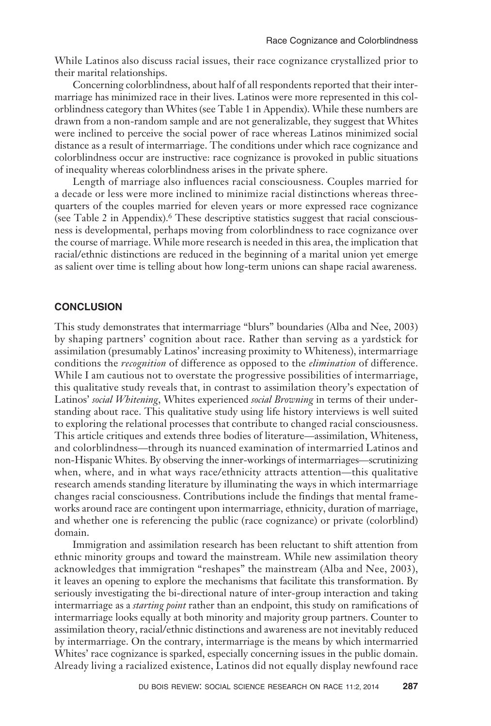While Latinos also discuss racial issues, their race cognizance crystallized prior to their marital relationships.

Concerning colorblindness, about half of all respondents reported that their intermarriage has minimized race in their lives. Latinos were more represented in this colorblindness category than Whites (see Table 1 in Appendix). While these numbers are drawn from a non-random sample and are not generalizable, they suggest that Whites were inclined to perceive the social power of race whereas Latinos minimized social distance as a result of intermarriage. The conditions under which race cognizance and colorblindness occur are instructive: race cognizance is provoked in public situations of inequality whereas colorblindness arises in the private sphere.

Length of marriage also influences racial consciousness. Couples married for a decade or less were more inclined to minimize racial distinctions whereas threequarters of the couples married for eleven years or more expressed race cognizance (see Table 2 in Appendix). 6 These descriptive statistics suggest that racial consciousness is developmental, perhaps moving from colorblindness to race cognizance over the course of marriage. While more research is needed in this area, the implication that racial/ethnic distinctions are reduced in the beginning of a marital union yet emerge as salient over time is telling about how long-term unions can shape racial awareness.

## **CONCLUSION**

This study demonstrates that intermarriage "blurs" boundaries (Alba and Nee, 2003 ) by shaping partners' cognition about race. Rather than serving as a yardstick for assimilation (presumably Latinos' increasing proximity to Whiteness), intermarriage conditions the *recognition* of difference as opposed to the *elimination* of difference. While I am cautious not to overstate the progressive possibilities of intermarriage, this qualitative study reveals that, in contrast to assimilation theory's expectation of Latinos' *social Whitening*, Whites experienced *social Browning* in terms of their understanding about race. This qualitative study using life history interviews is well suited to exploring the relational processes that contribute to changed racial consciousness. This article critiques and extends three bodies of literature—assimilation, Whiteness, and colorblindness—through its nuanced examination of intermarried Latinos and non-Hispanic Whites. By observing the inner-workings of intermarriages—scrutinizing when, where, and in what ways race/ethnicity attracts attention—this qualitative research amends standing literature by illuminating the ways in which intermarriage changes racial consciousness. Contributions include the findings that mental frameworks around race are contingent upon intermarriage, ethnicity, duration of marriage, and whether one is referencing the public (race cognizance) or private (colorblind) domain.

Immigration and assimilation research has been reluctant to shift attention from ethnic minority groups and toward the mainstream. While new assimilation theory acknowledges that immigration "reshapes" the mainstream (Alba and Nee, 2003 ), it leaves an opening to explore the mechanisms that facilitate this transformation. By seriously investigating the bi-directional nature of inter-group interaction and taking intermarriage as a *starting point* rather than an endpoint, this study on ramifications of intermarriage looks equally at both minority and majority group partners. Counter to assimilation theory, racial/ethnic distinctions and awareness are not inevitably reduced by intermarriage. On the contrary, intermarriage is the means by which intermarried Whites' race cognizance is sparked, especially concerning issues in the public domain. Already living a racialized existence, Latinos did not equally display newfound race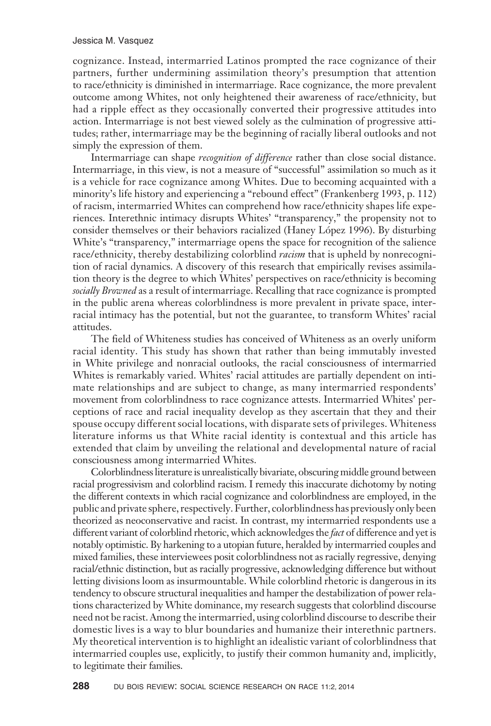cognizance. Instead, intermarried Latinos prompted the race cognizance of their partners, further undermining assimilation theory's presumption that attention to race/ethnicity is diminished in intermarriage. Race cognizance, the more prevalent outcome among Whites, not only heightened their awareness of race/ethnicity, but had a ripple effect as they occasionally converted their progressive attitudes into action. Intermarriage is not best viewed solely as the culmination of progressive attitudes; rather, intermarriage may be the beginning of racially liberal outlooks and not simply the expression of them.

Intermarriage can shape *recognition of difference* rather than close social distance. Intermarriage, in this view, is not a measure of "successful" assimilation so much as it is a vehicle for race cognizance among Whites. Due to becoming acquainted with a minority's life history and experiencing a "rebound effect" (Frankenberg 1993 , p. 112) of racism, intermarried Whites can comprehend how race/ethnicity shapes life experiences. Interethnic intimacy disrupts Whites' "transparency," the propensity not to consider themselves or their behaviors racialized (Haney López 1996). By disturbing White's "transparency," intermarriage opens the space for recognition of the salience race/ethnicity, thereby destabilizing colorblind *racism* that is upheld by nonrecognition of racial dynamics. A discovery of this research that empirically revises assimilation theory is the degree to which Whites' perspectives on race/ethnicity is becoming *socially Browned* as a result of intermarriage. Recalling that race cognizance is prompted in the public arena whereas colorblindness is more prevalent in private space, interracial intimacy has the potential, but not the guarantee, to transform Whites' racial attitudes.

The field of Whiteness studies has conceived of Whiteness as an overly uniform racial identity. This study has shown that rather than being immutably invested in White privilege and nonracial outlooks, the racial consciousness of intermarried Whites is remarkably varied. Whites' racial attitudes are partially dependent on intimate relationships and are subject to change, as many intermarried respondents' movement from colorblindness to race cognizance attests. Intermarried Whites' perceptions of race and racial inequality develop as they ascertain that they and their spouse occupy different social locations, with disparate sets of privileges. Whiteness literature informs us that White racial identity is contextual and this article has extended that claim by unveiling the relational and developmental nature of racial consciousness among intermarried Whites.

Colorblindness literature is unrealistically bivariate, obscuring middle ground between racial progressivism and colorblind racism. I remedy this inaccurate dichotomy by noting the different contexts in which racial cognizance and colorblindness are employed, in the public and private sphere, respectively. Further, colorblindness has previously only been theorized as neoconservative and racist. In contrast, my intermarried respondents use a different variant of colorblind rhetoric, which acknowledges the *fact* of difference and yet is notably optimistic. By harkening to a utopian future, heralded by intermarried couples and mixed families, these interviewees posit colorblindness not as racially regressive, denying racial/ethnic distinction, but as racially progressive, acknowledging difference but without letting divisions loom as insurmountable. While colorblind rhetoric is dangerous in its tendency to obscure structural inequalities and hamper the destabilization of power relations characterized by White dominance, my research suggests that colorblind discourse need not be racist. Among the intermarried, using colorblind discourse to describe their domestic lives is a way to blur boundaries and humanize their interethnic partners. My theoretical intervention is to highlight an idealistic variant of colorblindness that intermarried couples use, explicitly, to justify their common humanity and, implicitly, to legitimate their families.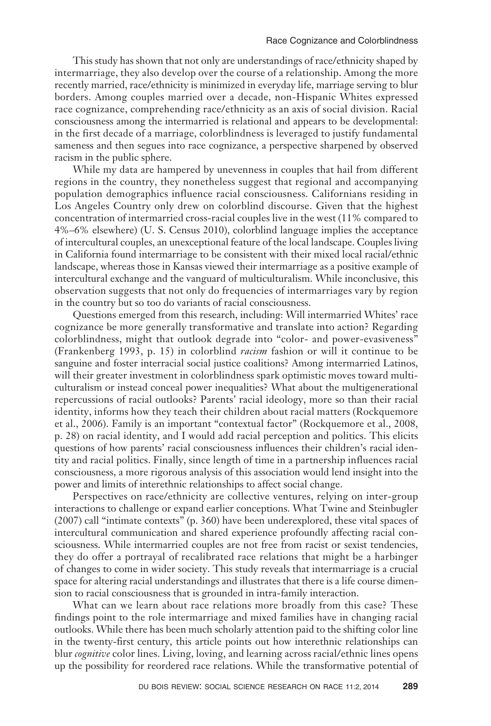This study has shown that not only are understandings of race/ethnicity shaped by intermarriage, they also develop over the course of a relationship. Among the more recently married, race/ethnicity is minimized in everyday life, marriage serving to blur borders. Among couples married over a decade, non-Hispanic Whites expressed race cognizance, comprehending race/ethnicity as an axis of social division. Racial consciousness among the intermarried is relational and appears to be developmental: in the first decade of a marriage, colorblindness is leveraged to justify fundamental sameness and then segues into race cognizance, a perspective sharpened by observed racism in the public sphere.

While my data are hampered by unevenness in couples that hail from different regions in the country, they nonetheless suggest that regional and accompanying population demographics influence racial consciousness. Californians residing in Los Angeles Country only drew on colorblind discourse. Given that the highest concentration of intermarried cross-racial couples live in the west (11% compared to 4%–6% elsewhere) (U. S. Census 2010), colorblind language implies the acceptance of intercultural couples, an unexceptional feature of the local landscape. Couples living in California found intermarriage to be consistent with their mixed local racial/ethnic landscape, whereas those in Kansas viewed their intermarriage as a positive example of intercultural exchange and the vanguard of multiculturalism. While inconclusive, this observation suggests that not only do frequencies of intermarriages vary by region in the country but so too do variants of racial consciousness.

Questions emerged from this research, including: Will intermarried Whites' race cognizance be more generally transformative and translate into action? Regarding colorblindness, might that outlook degrade into "color- and power-evasiveness" (Frankenberg 1993 , p. 15) in colorblind *racism* fashion or will it continue to be sanguine and foster interracial social justice coalitions? Among intermarried Latinos, will their greater investment in colorblindness spark optimistic moves toward multiculturalism or instead conceal power inequalities? What about the multigenerational repercussions of racial outlooks? Parents' racial ideology, more so than their racial identity, informs how they teach their children about racial matters (Rockquemore et al., 2006). Family is an important "contextual factor" (Rockquemore et al., 2008, p. 28) on racial identity, and I would add racial perception and politics. This elicits questions of how parents' racial consciousness influences their children's racial identity and racial politics. Finally, since length of time in a partnership influences racial consciousness, a more rigorous analysis of this association would lend insight into the power and limits of interethnic relationships to affect social change.

Perspectives on race/ethnicity are collective ventures, relying on inter-group interactions to challenge or expand earlier conceptions. What Twine and Steinbugler (2007) call "intimate contexts" (p. 360) have been underexplored, these vital spaces of intercultural communication and shared experience profoundly affecting racial consciousness. While intermarried couples are not free from racist or sexist tendencies, they do offer a portrayal of recalibrated race relations that might be a harbinger of changes to come in wider society. This study reveals that intermarriage is a crucial space for altering racial understandings and illustrates that there is a life course dimension to racial consciousness that is grounded in intra-family interaction.

What can we learn about race relations more broadly from this case? These findings point to the role intermarriage and mixed families have in changing racial outlooks. While there has been much scholarly attention paid to the shifting color line in the twenty-first century, this article points out how interethnic relationships can blur *cognitive* color lines. Living, loving, and learning across racial/ethnic lines opens up the possibility for reordered race relations. While the transformative potential of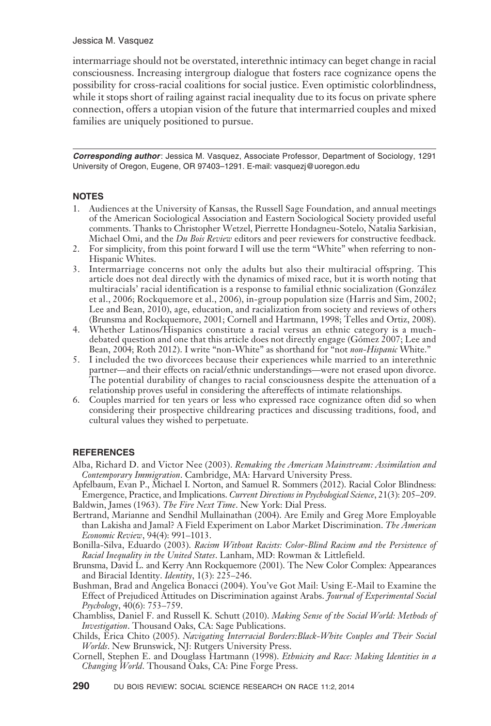intermarriage should not be overstated, interethnic intimacy can beget change in racial consciousness. Increasing intergroup dialogue that fosters race cognizance opens the possibility for cross-racial coalitions for social justice. Even optimistic colorblindness, while it stops short of railing against racial inequality due to its focus on private sphere connection, offers a utopian vision of the future that intermarried couples and mixed families are uniquely positioned to pursue.

*Corresponding author*: Jessica M. Vasquez, Associate Professor, Department of Sociology, 1291 University of Oregon, Eugene, OR 97403–1291. E-mail: vasquezj@uoregon.edu

## **NOTES**

- 1. Audiences at the University of Kansas, the Russell Sage Foundation, and annual meetings of the American Sociological Association and Eastern Sociological Society provided useful comments. Thanks to Christopher Wetzel, Pierrette Hondagneu-Sotelo, Natalia Sarkisian, Michael Omi, and the *Du Bois Review* editors and peer reviewers for constructive feedback.
- 2. For simplicity, from this point forward I will use the term "White" when referring to non-Hispanic Whites.
- 3. Intermarriage concerns not only the adults but also their multiracial offspring. This article does not deal directly with the dynamics of mixed race, but it is worth noting that multiracials' racial identification is a response to familial ethnic socialization (González et al., 2006; Rockquemore et al., 2006), in-group population size (Harris and Sim, 2002; Lee and Bean, 2010), age, education, and racialization from society and reviews of others (Brunsma and Rockquemore, 2001; Cornell and Hartmann, 1998; Telles and Ortiz, 2008).
- 4. Whether Latinos/Hispanics constitute a racial versus an ethnic category is a muchdebated question and one that this article does not directly engage (Gómez 2007; Lee and Bean, 2004; Roth 2012). I write "non-White" as shorthand for "not *non-Hispanic* White."
- 5. I included the two divorcees because their experiences while married to an interethnic partner—and their effects on racial/ethnic understandings—were not erased upon divorce. The potential durability of changes to racial consciousness despite the attenuation of a relationship proves useful in considering the aftereffects of intimate relationships.
- 6. Couples married for ten years or less who expressed race cognizance often did so when considering their prospective childrearing practices and discussing traditions, food, and cultural values they wished to perpetuate.

# **REFERENCES**

- Alba, Richard D. and Victor Nee (2003). *Remaking the American Mainstream: Assimilation and* **Contemporary Immigration. Cambridge, MA: Harvard University Press.**
- Apfelbaum, Evan P., Michael I. Norton, and Samuel R. Sommers (2012). Racial Color Blindness: Emergence, Practice, and Implications. *Current Directions in Psychological Science*, 21(3): 205-209.
- Baldwin, James (1963). *The Fire Next Time*. New York: Dial Press.
- Bertrand, Marianne and Sendhil Mullainathan (2004). Are Emily and Greg More Employable than Lakisha and Jamal? A Field Experiment on Labor Market Discrimination . *The American Economic Review*, 94(4): 991-1013.
- Bonilla-Silva, Eduardo (2003). *Racism Without Racists: Color-Blind Racism and the Persistence of Racial Inequality in the United States*. Lanham, MD : Rowman & Littlefield .
- Brunsma, David L. and Kerry Ann Rockquemore (2001). The New Color Complex: Appearances and Biracial Identity. *Identity*, 1(3): 225-246.
- Bushman, Brad and Angelica Bonacci (2004). You've Got Mail: Using E-Mail to Examine the Effect of Prejudiced Attitudes on Discrimination against Arabs . *Journal of Experimental Social Psychology*, 40(6): 753-759.
- Chambliss, Daniel F. and Russell K. Schutt (2010). *Making Sense of the Social World: Methods of Investigation*. Thousand Oaks, CA: Sage Publications.
- Childs, Erica Chito (2005). *Navigating Interracial Borders: Black-White Couples and Their Social Worlds*. New Brunswick, NJ: Rutgers University Press.
- Cornell, Stephen E. and Douglass Hartmann (1998). *Ethnicity and Race: Making Identities in a Changing World*. Thousand Oaks, CA: Pine Forge Press.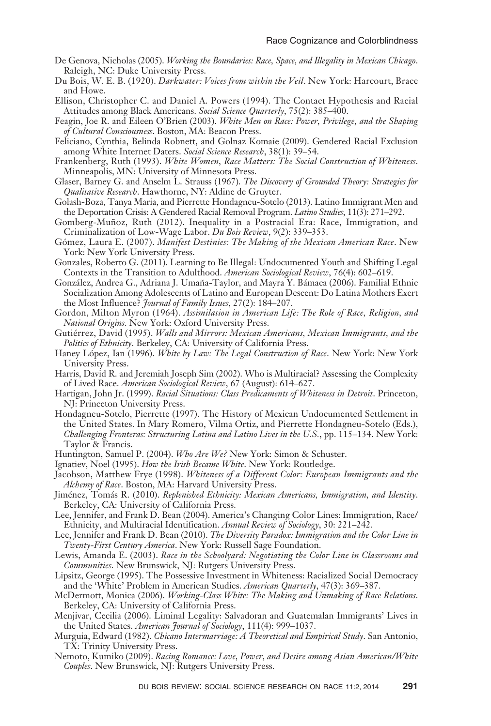- De Genova , Nicholas( 2005 ). *Working the Boundaries: Race, Space, and Illegality in Mexican Chicago*. Raleigh, NC: Duke University Press.
- Du Bois, W. E. B. (1920). *Darkwater: Voices from within the Veil*. New York: Harcourt, Brace and Howe.
- Ellison, Christopher C. and Daniel A. Powers (1994). The Contact Hypothesis and Racial Attitudes among Black Americans. Social Science Quarterly, 75(2): 385-400.
- Feagin , Joe R.and Eileen O'Brien( 2003 ). *White Men on Race: Power, Privilege, and the Shaping*  of Cultural Consciousness. Boston, MA: Beacon Press.
- Feliciano, Cynthia, Belinda Robnett, and Golnaz Komaie (2009). Gendered Racial Exclusion among White Internet Daters. *Social Science Research*, 38(1): 39–54.
- Frankenberg, Ruth (1993). *White Women, Race Matters: The Social Construction of Whiteness.* Minneapolis, MN: University of Minnesota Press.
- Glaser, Barney G. and Anselm L. Strauss (1967). *The Discovery of Grounded Theory: Strategies for* Qualitative Research. Hawthorne, NY: Aldine de Gruyter.
- Golash-Boza , Tanya Maria , and Pierrette Hondagneu-Sotelo( 2013 ). Latino Immigrant Men and the Deportation Crisis: A Gendered Racial Removal Program. *Latino Studies*, 11(3): 271–292.
- Gomberg-Muñoz, Ruth (2012). Inequality in a Postracial Era: Race, Immigration, and Criminalization of Low-Wage Labor. *Du Bois Review*, 9(2): 339–353.
- Gómez, Laura E. (2007). *Manifest Destinies: The Making of the Mexican American Race*. New York: New York University Press.
- Gonzales, Roberto G. (2011). Learning to Be Illegal: Undocumented Youth and Shifting Legal Contexts in the Transition to Adulthood. *American Sociological Review*, 76(4): 602–619.
- González, Andrea G., Adriana J. Umaña-Taylor, and Mayra Y. Bámaca (2006). Familial Ethnic Socialization Among Adolescents of Latino and European Descent: Do Latina Mothers Exert the Most Influence? *Journal of Family Issues*, 27(2): 184-207.
- Gordon, Milton Myron (1964). *Assimilation in American Life: The Role of Race, Religion, and National Origins*. New York: Oxford University Press.
- Gutiérrez, David (1995). *Walls and Mirrors: Mexican Americans, Mexican Immigrants, and the* Politics of Ethnicity. Berkeley, CA: University of California Press.
- Haney López, Ian (1996). *White by Law: The Legal Construction of Race*. New York: New York University Press .
- Harris, David R. and Jeremiah Joseph Sim (2002). Who is Multiracial? Assessing the Complexity of Lived Race. *American Sociological Review*, 67 (August): 614–627.
- Hartigan, John Jr. (1999). *Racial Situations: Class Predicaments of Whiteness in Detroit*. Princeton, NJ: Princeton University Press.
- Hondagneu-Sotelo, Pierrette (1997). The History of Mexican Undocumented Settlement in the United States. In Mary Romero, Vilma Ortiz, and Pierrette Hondagneu-Sotelo (Eds.), *Challenging Fronteras: Structuring Latina and Latino Lives in the U.S.*, pp. 115-134. New York: Taylor & Francis .
- Huntington, Samuel P. (2004). *Who Are We?* New York: Simon & Schuster.
- Ignatiev, Noel (1995). *How the Irish Became White*. New York: Routledge.
- Jacobson, Matthew Frye (1998). *Whiteness of a Different Color: European Immigrants and the* Alchemy of Race. Boston, MA: Harvard University Press.
- Jiménez, Tomás R. (2010). *Replenished Ethnicity: Mexican Americans, Immigration, and Identity*. Berkeley, CA: University of California Press.
- Lee, Jennifer, and Frank D. Bean (2004). America's Changing Color Lines: Immigration, Race/ Ethnicity, and Multiracial Identification. *Annual Review of Sociology*, 30: 221–242.
- Lee, Jennifer and Frank D. Bean (2010). *The Diversity Paradox: Immigration and the Color Line in* Twenty-First Century America. New York: Russell Sage Foundation.
- Lewis, Amanda E. (2003). *Race in the Schoolyard: Negotiating the Color Line in Classrooms and Communities*. New Brunswick, NJ: Rutgers University Press.
- Lipsitz, George (1995). The Possessive Investment in Whiteness: Racialized Social Democracy and the 'White' Problem in American Studies. American Quarterly, 47(3): 369-387.
- McDermott , Monica( 2006 ). *Working-Class White: The Making and Unmaking of Race Relations*. Berkeley, CA: University of California Press.
- Menjivar, Cecilia (2006). Liminal Legality: Salvadoran and Guatemalan Immigrants' Lives in the United States. *American Journal of Sociology*, 111(4): 999–1037.
- Murguia , Edward( 1982 ). *Chicano Intermarriage: A Theoretical and Empirical Study*. San Antonio, TX: Trinity University Press.
- Nemoto , Kumiko( 2009 ). *Racing Romance: Love, Power, and Desire among Asian American/White*  Couples. New Brunswick, NJ: Rutgers University Press.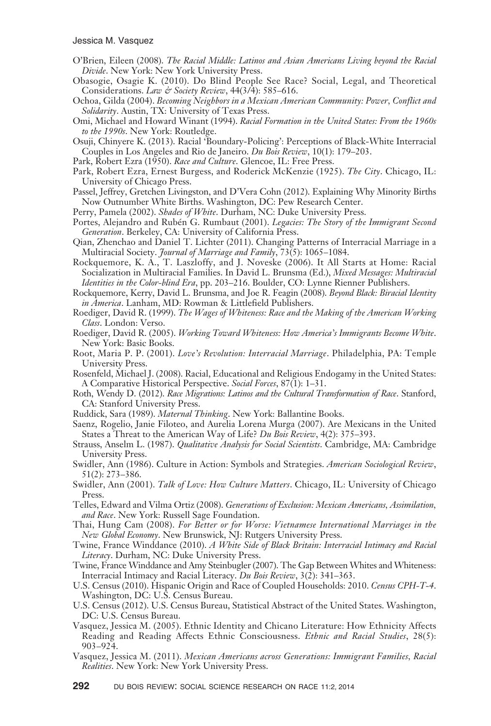- O'Brien, Eileen (2008). *The Racial Middle: Latinos and Asian Americans Living beyond the Racial* Divide. New York: New York University Press.
- Obasogie , Osagie K . ( 2010 ). Do Blind People See Race? Social, Legal, and Theoretical Considerations. *Law & Society Review*, 44(3/4): 585-616.
- Ochoa , Gilda( 2004 ). *Becoming Neighbors in a Mexican American Community: Power, Conflict and*  Solidarity. Austin, TX: University of Texas Press.
- Omi, Michael and Howard Winant (1994). *Racial Formation in the United States: From the 1960s* to the 1990s. New York: Routledge.
- Osuji , Chinyere K . ( 2013 ). Racial 'Boundary-Policing': Perceptions of Black-White Interracial Couples in Los Angeles and Rio de Janeiro. *Du Bois Review*, 10(1): 179–203.
- Park, Robert Ezra (1950). *Race and Culture*. Glencoe, IL: Free Press.
- Park, Robert Ezra, Ernest Burgess, and Roderick McKenzie (1925). *The City*. Chicago, IL: University of Chicago Press.
- Passel, Jeffrey, Gretchen Livingston, and D'Vera Cohn (2012). Explaining Why Minority Births Now Outnumber White Births. Washington, DC: Pew Research Center.
- Perry, Pamela (2002). *Shades of White*. Durham, NC: Duke University Press.
- Portes, Alejandro and Rubén G. Rumbaut (2001). *Legacies: The Story of the Immigrant Second* Generation. Berkeley, CA: University of California Press.
- Qian, Zhenchao and Daniel T. Lichter (2011). Changing Patterns of Interracial Marriage in a Multiracial Society. *Journal of Marriage and Family*, 73(5): 1065-1084.
- Rockquemore, K. A., T. Laszloffy, and J. Noveske (2006). It All Starts at Home: Racial Socialization in Multiracial Families . In David L. Brunsma(Ed.), *Mixed Messages: Multiracial Identities in the Color-blind Era*, pp. 203-216. Boulder, CO: Lynne Rienner Publishers.
- Rockquemore , Kerry , David L. Brunsma , and Joe R. Feagin( 2008 ). *Beyond Black: Biracial Identity in America*. Lanham, MD: Rowman & Littlefield Publishers.
- Roediger, David R. (1999). *The Wages of Whiteness: Race and the Making of the American Working Class*. London: Verso.
- Roediger, David R. (2005). Working Toward Whiteness: How America's Immigrants Become White. New York: Basic Books.
- Root, Maria P. P. (2001). *Love's Revolution: Interracial Marriage*. Philadelphia, PA: Temple University Press.
- Rosenfeld, Michael J. (2008). Racial, Educational and Religious Endogamy in the United States: A Comparative Historical Perspective. *Social Forces*, 87(1): 1–31.
- Roth, Wendy D. (2012). *Race Migrations: Latinos and the Cultural Transformation of Race*. Stanford, CA: Stanford University Press.
- Ruddick, Sara (1989). *Maternal Thinking*. New York: Ballantine Books.
- Saenz, Rogelio, Janie Filoteo, and Aurelia Lorena Murga (2007). Are Mexicans in the United States a Threat to the American Way of Life? *Du Bois Review*, 4(2): 375-393.
- Strauss, Anselm L. (1987). *Qualitative Analysis for Social Scientists*. Cambridge, MA: Cambridge University Press.
- Swidler, Ann (1986). Culture in Action: Symbols and Strategies. *American Sociological Review*,  $51(2): 273 - 386.$
- Swidler, Ann (2001). *Talk of Love: How Culture Matters*. Chicago, IL: University of Chicago Press.
- Telles, Edward and Vilma Ortiz (2008). *Generations of Exclusion: Mexican Americans, Assimilation*, and Race. New York: Russell Sage Foundation.
- Thai, Hung Cam (2008). For Better or for Worse: Vietnamese International Marriages in the New Global Economy. New Brunswick, NJ: Rutgers University Press.
- Twine, France Winddance (2010). *A White Side of Black Britain: Interracial Intimacy and Racial* Literacy. Durham, NC: Duke University Press.
- Twine, France Winddance and Amy Steinbugler (2007). The Gap Between Whites and Whiteness: Interracial Intimacy and Racial Literacy. *Du Bois Review*, 3(2): 341-363.
- U.S. Census( 2010 ). Hispanic Origin and Race of Coupled Households: 2010 . *Census CPH-T-4*. Washington, DC: U.S. Census Bureau.
- U.S. Census (2012). U.S. Census Bureau, Statistical Abstract of the United States. Washington, DC: U.S. Census Bureau.
- Vasquez, Jessica M. (2005). Ethnic Identity and Chicano Literature: How Ethnicity Affects Reading and Reading Affects Ethnic Consciousness. Ethnic and Racial Studies, 28(5): 903-924.
- Vasquez , Jessica M . ( 2011 ). *Mexican Americans across Generations: Immigrant Families, Racial Realities*. New York: New York University Press.